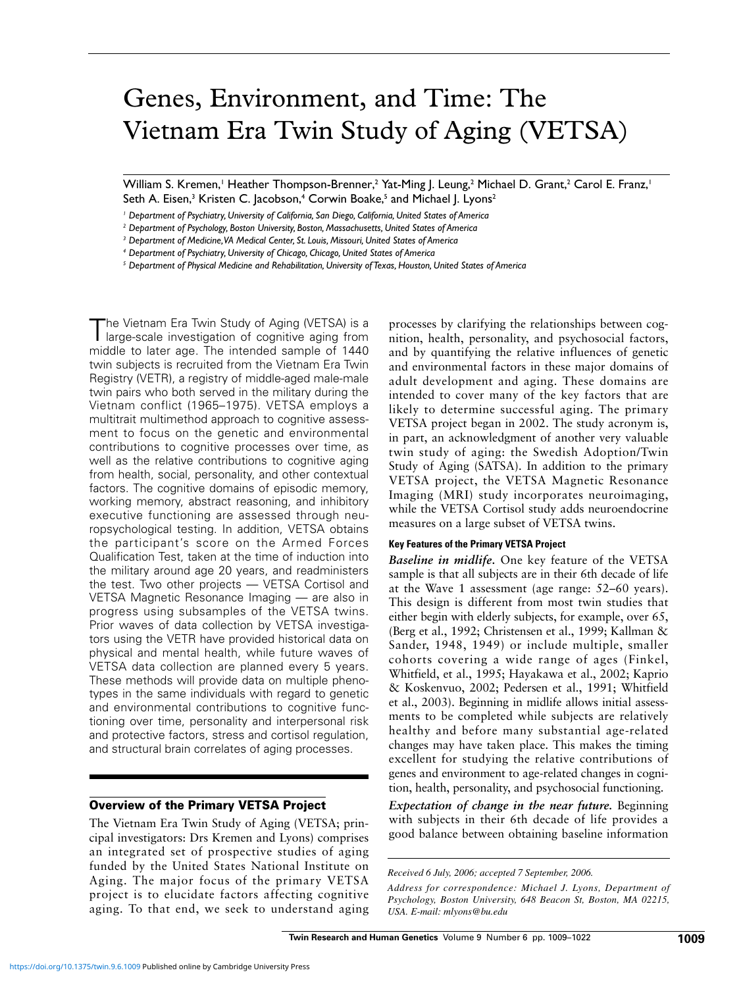# Genes, Environment, and Time: The Vietnam Era Twin Study of Aging (VETSA)

William S. Kremen,<sup>1</sup> Heather Thompson-Brenner,<sup>2</sup> Yat-Ming J. Leung,<sup>2</sup> Michael D. Grant,<sup>2</sup> Carol E. Franz,<sup>1</sup> Seth A. Eisen,<sup>3</sup> Kristen C. Jacobson,<sup>4</sup> Corwin Boake,<sup>5</sup> and Michael J. Lyons<sup>2</sup>

*<sup>1</sup> Department of Psychiatry, University of California, San Diego, California, United States of America*

*<sup>2</sup> Department of Psychology, Boston University, Boston, Massachusetts, United States of America*

*<sup>3</sup> Department of Medicine,VA Medical Center, St. Louis, Missouri, United States of America*

*<sup>4</sup> Department of Psychiatry, University of Chicago, Chicago, United States of America*

*<sup>5</sup> Department of Physical Medicine and Rehabilitation, University of Texas, Houston, United States of America*

The Vietnam Era Twin Study of Aging (VETSA) is a<br>large-scale investigation of cognitive aging from middle to later age. The intended sample of 1440 twin subjects is recruited from the Vietnam Era Twin Registry (VETR), a registry of middle-aged male-male twin pairs who both served in the military during the Vietnam conflict (1965–1975). VETSA employs a multitrait multimethod approach to cognitive assessment to focus on the genetic and environmental contributions to cognitive processes over time, as well as the relative contributions to cognitive aging from health, social, personality, and other contextual factors. The cognitive domains of episodic memory, working memory, abstract reasoning, and inhibitory executive functioning are assessed through neuropsychological testing. In addition, VETSA obtains the participant's score on the Armed Forces Qualification Test, taken at the time of induction into the military around age 20 years, and readministers the test. Two other projects — VETSA Cortisol and VETSA Magnetic Resonance Imaging — are also in progress using subsamples of the VETSA twins. Prior waves of data collection by VETSA investigators using the VETR have provided historical data on physical and mental health, while future waves of VETSA data collection are planned every 5 years. These methods will provide data on multiple phenotypes in the same individuals with regard to genetic and environmental contributions to cognitive functioning over time, personality and interpersonal risk and protective factors, stress and cortisol regulation, and structural brain correlates of aging processes.

# **Overview of the Primary VETSA Project**

The Vietnam Era Twin Study of Aging (VETSA; principal investigators: Drs Kremen and Lyons) comprises an integrated set of prospective studies of aging funded by the United States National Institute on Aging. The major focus of the primary VETSA project is to elucidate factors affecting cognitive aging. To that end, we seek to understand aging

processes by clarifying the relationships between cognition, health, personality, and psychosocial factors, and by quantifying the relative influences of genetic and environmental factors in these major domains of adult development and aging. These domains are intended to cover many of the key factors that are likely to determine successful aging. The primary VETSA project began in 2002. The study acronym is, in part, an acknowledgment of another very valuable twin study of aging: the Swedish Adoption/Twin Study of Aging (SATSA). In addition to the primary VETSA project, the VETSA Magnetic Resonance Imaging (MRI) study incorporates neuroimaging, while the VETSA Cortisol study adds neuroendocrine measures on a large subset of VETSA twins.

# **Key Features of the Primary VETSA Project**

*Baseline in midlife.* One key feature of the VETSA sample is that all subjects are in their 6th decade of life at the Wave 1 assessment (age range: 52–60 years). This design is different from most twin studies that either begin with elderly subjects, for example, over 65, (Berg et al., 1992; Christensen et al., 1999; Kallman & Sander, 1948, 1949) or include multiple, smaller cohorts covering a wide range of ages (Finkel, Whitfield, et al., 1995; Hayakawa et al., 2002; Kaprio & Koskenvuo, 2002; Pedersen et al., 1991; Whitfield et al., 2003). Beginning in midlife allows initial assessments to be completed while subjects are relatively healthy and before many substantial age-related changes may have taken place. This makes the timing excellent for studying the relative contributions of genes and environment to age-related changes in cognition, health, personality, and psychosocial functioning.

*Expectation of change in the near future.* Beginning with subjects in their 6th decade of life provides a good balance between obtaining baseline information

*Received 6 July, 2006; accepted 7 September, 2006.*

*Address for correspondence: Michael J. Lyons, Department of Psychology, Boston University, 648 Beacon St, Boston, MA 02215, USA. E-mail: mlyons@bu.edu*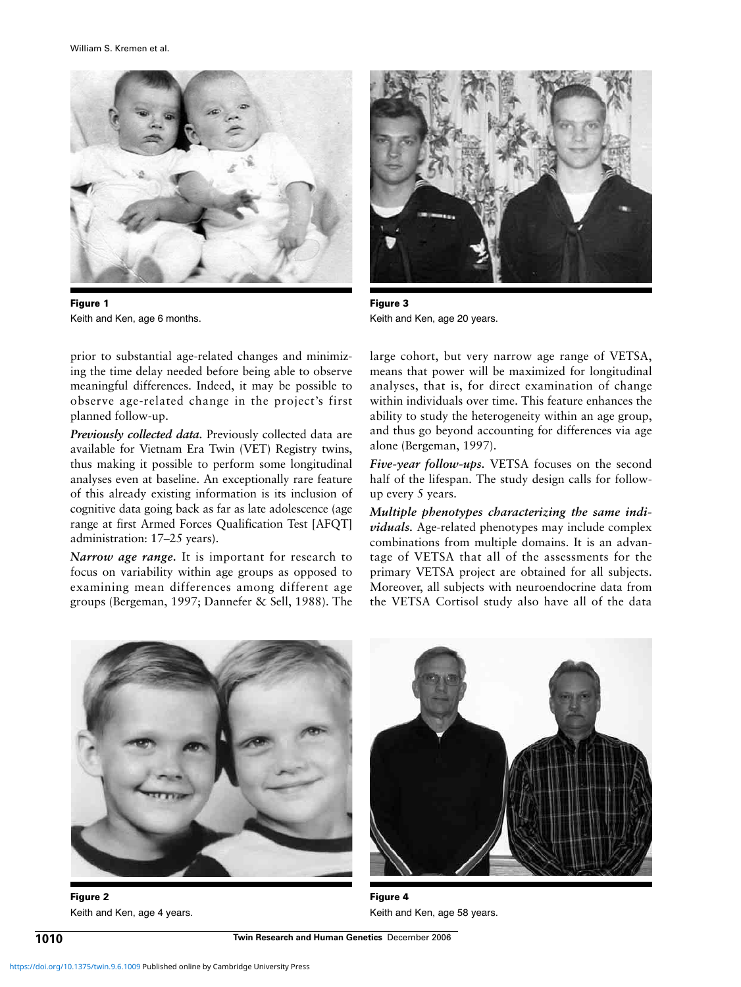

**Figure 1** Keith and Ken, age 6 months.



**Figure 3** Keith and Ken, age 20 years.

prior to substantial age-related changes and minimizing the time delay needed before being able to observe meaningful differences. Indeed, it may be possible to observe age-related change in the project's first planned follow-up.

*Previously collected data.* Previously collected data are available for Vietnam Era Twin (VET) Registry twins, thus making it possible to perform some longitudinal analyses even at baseline. An exceptionally rare feature of this already existing information is its inclusion of cognitive data going back as far as late adolescence (age range at first Armed Forces Qualification Test [AFQT] administration: 17–25 years).

*Narrow age range.* It is important for research to focus on variability within age groups as opposed to examining mean differences among different age groups (Bergeman, 1997; Dannefer & Sell, 1988). The large cohort, but very narrow age range of VETSA, means that power will be maximized for longitudinal analyses, that is, for direct examination of change within individuals over time. This feature enhances the ability to study the heterogeneity within an age group, and thus go beyond accounting for differences via age alone (Bergeman, 1997).

*Five-year follow-ups.* VETSA focuses on the second half of the lifespan. The study design calls for followup every 5 years.

*Multiple phenotypes characterizing the same individuals.* Age-related phenotypes may include complex combinations from multiple domains. It is an advantage of VETSA that all of the assessments for the primary VETSA project are obtained for all subjects. Moreover, all subjects with neuroendocrine data from the VETSA Cortisol study also have all of the data



**Figure 2** Keith and Ken, age 4 years.

**Figure 4** Keith and Ken, age 58 years.

**1010 Twin Research and Human Genetics** December 2006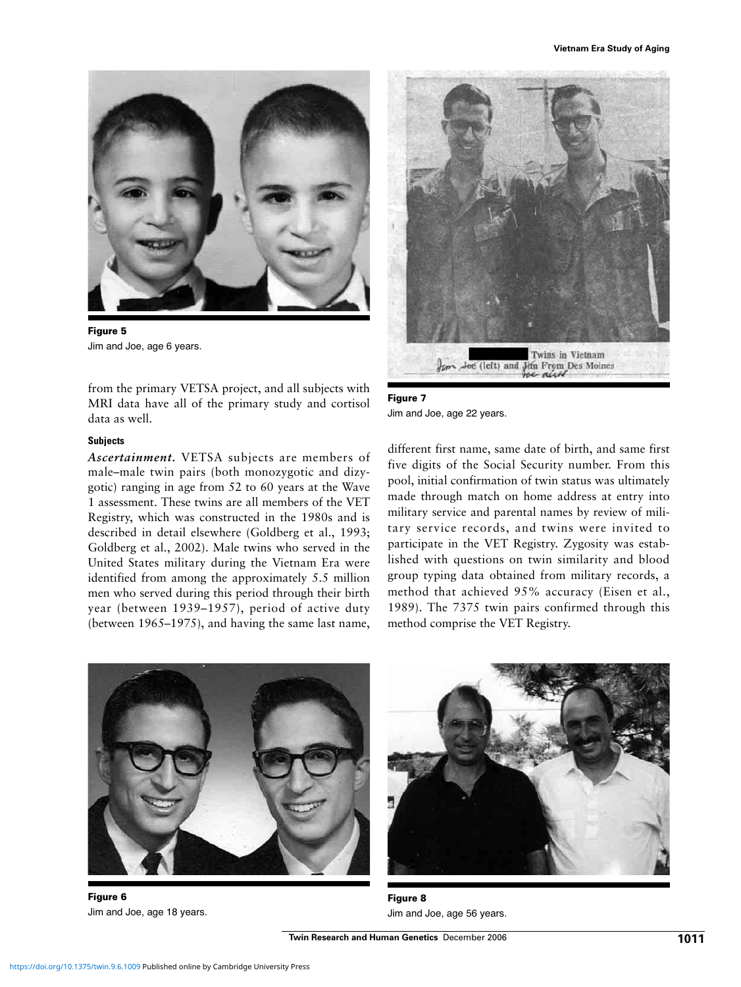

**Figure 5** Jim and Joe, age 6 years.

from the primary VETSA project, and all subjects with MRI data have all of the primary study and cortisol data as well.

# **Subjects**

*Ascertainment.* VETSA subjects are members of male–male twin pairs (both monozygotic and dizygotic) ranging in age from 52 to 60 years at the Wave 1 assessment. These twins are all members of the VET Registry, which was constructed in the 1980s and is described in detail elsewhere (Goldberg et al., 1993; Goldberg et al., 2002). Male twins who served in the United States military during the Vietnam Era were identified from among the approximately 5.5 million men who served during this period through their birth year (between 1939–1957), period of active duty (between 1965–1975), and having the same last name,



**Figure 7** Jim and Joe, age 22 years.

different first name, same date of birth, and same first five digits of the Social Security number. From this pool, initial confirmation of twin status was ultimately made through match on home address at entry into military service and parental names by review of military service records, and twins were invited to participate in the VET Registry. Zygosity was established with questions on twin similarity and blood group typing data obtained from military records, a method that achieved 95% accuracy (Eisen et al., 1989). The 7375 twin pairs confirmed through this method comprise the VET Registry.



**Figure 6** Jim and Joe, age 18 years.



**Figure 8** Jim and Joe, age 56 years.

**Twin Research and Human Genetics** December 2006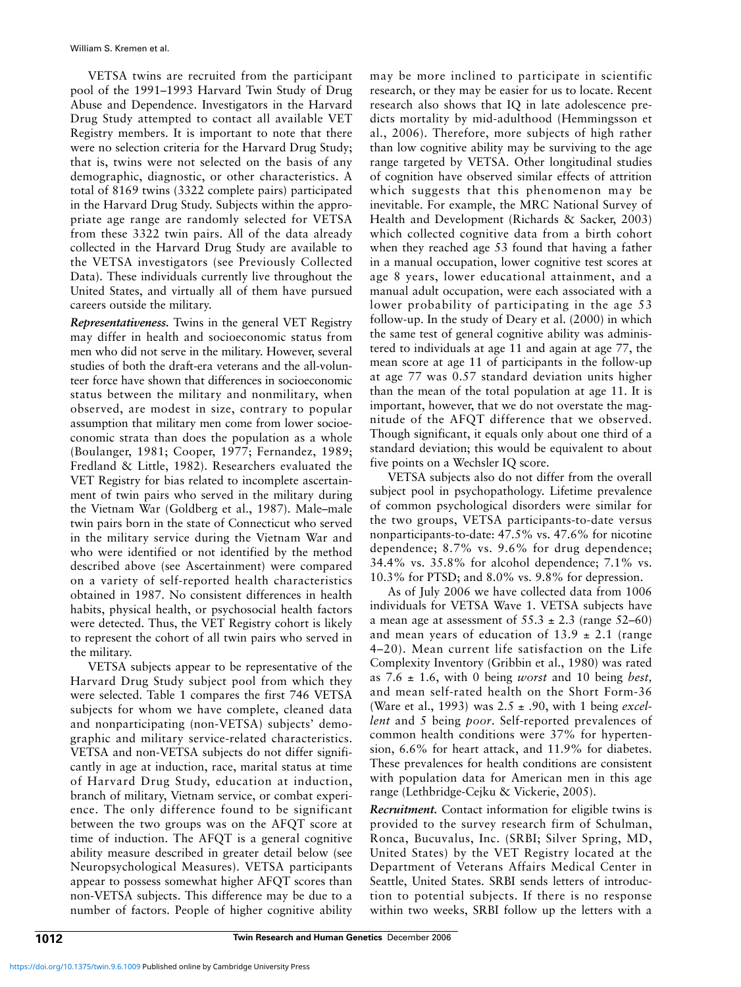VETSA twins are recruited from the participant pool of the 1991–1993 Harvard Twin Study of Drug Abuse and Dependence. Investigators in the Harvard Drug Study attempted to contact all available VET Registry members. It is important to note that there were no selection criteria for the Harvard Drug Study; that is, twins were not selected on the basis of any demographic, diagnostic, or other characteristics. A total of 8169 twins (3322 complete pairs) participated in the Harvard Drug Study. Subjects within the appropriate age range are randomly selected for VETSA from these 3322 twin pairs. All of the data already collected in the Harvard Drug Study are available to the VETSA investigators (see Previously Collected Data). These individuals currently live throughout the United States, and virtually all of them have pursued careers outside the military.

*Representativeness.* Twins in the general VET Registry may differ in health and socioeconomic status from men who did not serve in the military. However, several studies of both the draft-era veterans and the all-volunteer force have shown that differences in socioeconomic status between the military and nonmilitary, when observed, are modest in size, contrary to popular assumption that military men come from lower socioeconomic strata than does the population as a whole (Boulanger, 1981; Cooper, 1977; Fernandez, 1989; Fredland & Little, 1982). Researchers evaluated the VET Registry for bias related to incomplete ascertainment of twin pairs who served in the military during the Vietnam War (Goldberg et al., 1987). Male–male twin pairs born in the state of Connecticut who served in the military service during the Vietnam War and who were identified or not identified by the method described above (see Ascertainment) were compared on a variety of self-reported health characteristics obtained in 1987. No consistent differences in health habits, physical health, or psychosocial health factors were detected. Thus, the VET Registry cohort is likely to represent the cohort of all twin pairs who served in the military.

VETSA subjects appear to be representative of the Harvard Drug Study subject pool from which they were selected. Table 1 compares the first 746 VETSA subjects for whom we have complete, cleaned data and nonparticipating (non-VETSA) subjects' demographic and military service-related characteristics. VETSA and non-VETSA subjects do not differ significantly in age at induction, race, marital status at time of Harvard Drug Study, education at induction, branch of military, Vietnam service, or combat experience. The only difference found to be significant between the two groups was on the AFQT score at time of induction. The AFQT is a general cognitive ability measure described in greater detail below (see Neuropsychological Measures). VETSA participants appear to possess somewhat higher AFQT scores than non-VETSA subjects. This difference may be due to a number of factors. People of higher cognitive ability may be more inclined to participate in scientific research, or they may be easier for us to locate. Recent research also shows that IQ in late adolescence predicts mortality by mid-adulthood (Hemmingsson et al., 2006). Therefore, more subjects of high rather than low cognitive ability may be surviving to the age range targeted by VETSA. Other longitudinal studies of cognition have observed similar effects of attrition which suggests that this phenomenon may be inevitable. For example, the MRC National Survey of Health and Development (Richards & Sacker, 2003) which collected cognitive data from a birth cohort when they reached age 53 found that having a father in a manual occupation, lower cognitive test scores at age 8 years, lower educational attainment, and a manual adult occupation, were each associated with a lower probability of participating in the age 53 follow-up. In the study of Deary et al. (2000) in which the same test of general cognitive ability was administered to individuals at age 11 and again at age 77, the mean score at age 11 of participants in the follow-up at age 77 was 0.57 standard deviation units higher than the mean of the total population at age 11. It is important, however, that we do not overstate the magnitude of the AFQT difference that we observed. Though significant, it equals only about one third of a standard deviation; this would be equivalent to about five points on a Wechsler IQ score.

VETSA subjects also do not differ from the overall subject pool in psychopathology. Lifetime prevalence of common psychological disorders were similar for the two groups, VETSA participants-to-date versus nonparticipants-to-date: 47.5% vs. 47.6% for nicotine dependence; 8.7% vs. 9.6% for drug dependence; 34.4% vs. 35.8% for alcohol dependence; 7.1% vs. 10.3% for PTSD; and 8.0% vs. 9.8% for depression.

As of July 2006 we have collected data from 1006 individuals for VETSA Wave 1. VETSA subjects have a mean age at assessment of  $55.3 \pm 2.3$  (range  $52-60$ ) and mean years of education of  $13.9 \pm 2.1$  (range 4–20). Mean current life satisfaction on the Life Complexity Inventory (Gribbin et al., 1980) was rated as 7.6 ± 1.6, with 0 being *worst* and 10 being *best,* and mean self-rated health on the Short Form-36 (Ware et al., 1993) was 2.5 ± .90, with 1 being *excellent* and 5 being *poor*. Self-reported prevalences of common health conditions were 37% for hypertension, 6.6% for heart attack, and 11.9% for diabetes. These prevalences for health conditions are consistent with population data for American men in this age range (Lethbridge-Cejku & Vickerie, 2005).

*Recruitment.* Contact information for eligible twins is provided to the survey research firm of Schulman, Ronca, Bucuvalus, Inc. (SRBI; Silver Spring, MD, United States) by the VET Registry located at the Department of Veterans Affairs Medical Center in Seattle, United States. SRBI sends letters of introduction to potential subjects. If there is no response within two weeks, SRBI follow up the letters with a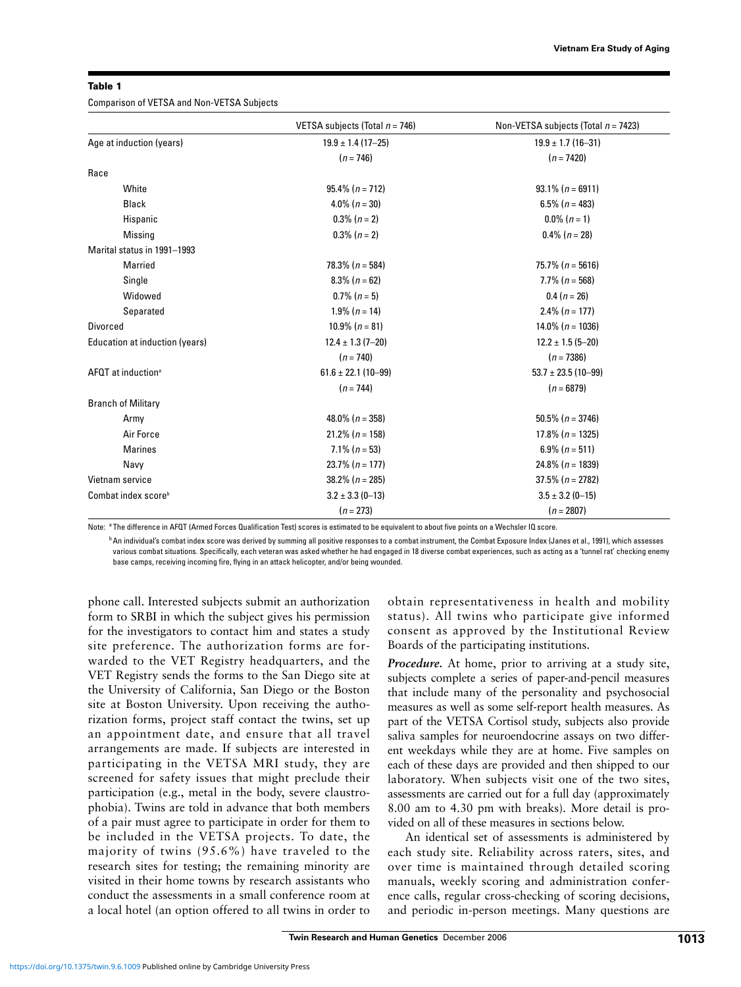## **Table 1**

Comparison of VETSA and Non-VETSA Subjects

|                                 | VETSA subjects (Total $n = 746$ )                 | Non-VETSA subjects (Total $n = 7423$ ) |  |
|---------------------------------|---------------------------------------------------|----------------------------------------|--|
| Age at induction (years)        | $19.9 \pm 1.4$ (17-25)                            | $19.9 \pm 1.7$ (16-31)                 |  |
|                                 | $(n = 746)$                                       | $(n = 7420)$                           |  |
| Race                            |                                                   |                                        |  |
| White                           | $95.4\%$ (n = 712)                                | $93.1\%$ (n = 6911)                    |  |
| <b>Black</b>                    | 4.0% ( $n = 30$ )                                 | $6.5\%$ ( <i>n</i> = 483)              |  |
| Hispanic                        | $0.3\%$ ( $n = 2$ )                               | $0.0\%$ ( <i>n</i> = 1)                |  |
| Missing                         | $0.3\%$ ( $n = 2$ )                               | $0.4\%$ ( $n = 28$ )                   |  |
| Marital status in 1991-1993     |                                                   |                                        |  |
| Married                         | 78.3% ( $n = 584$ )                               | $75.7\%$ (n = 5616)                    |  |
| Single                          | $8.3\%$ ( <i>n</i> = 62)                          | $7.7\%$ ( <i>n</i> = 568)              |  |
| Widowed                         | $0.7\%$ ( <i>n</i> = 5)                           | $0.4(n = 26)$                          |  |
| Separated                       | $1.9\%$ ( <i>n</i> = 14)                          | $2.4\%$ ( <i>n</i> = 177)              |  |
| <b>Divorced</b>                 | 10.9% ( $n = 81$ )                                | 14.0% ( $n = 1036$ )                   |  |
| Education at induction (years)  | $12.4 \pm 1.3$ (7-20)                             | $12.2 \pm 1.5$ (5-20)                  |  |
|                                 | $(n = 740)$                                       | $(n = 7386)$                           |  |
| AFQT at induction <sup>®</sup>  | $61.6 \pm 22.1$ (10-99)                           | $53.7 \pm 23.5$ (10-99)                |  |
|                                 | $(n = 744)$                                       | $(n = 6879)$                           |  |
| <b>Branch of Military</b>       |                                                   |                                        |  |
| Army                            | 48.0% ( $n = 358$ )                               | $50.5\%$ (n = 3746)                    |  |
| Air Force                       | $21.2\%$ ( <i>n</i> = 158)<br>$17.8\%$ (n = 1325) |                                        |  |
| <b>Marines</b>                  | $7.1\%$ ( <i>n</i> = 53)<br>$6.9\%$ (n = 511)     |                                        |  |
| Navy                            | $23.7\%$ (n = 177)                                | 24.8% ( $n = 1839$ )                   |  |
| Vietnam service                 | $38.2\%$ (n = 285)                                | $37.5\%$ (n = 2782)                    |  |
| Combat index score <sup>b</sup> | $3.2 \pm 3.3$ (0-13)                              | $3.5 \pm 3.2$ (0-15)                   |  |
|                                 | $(n = 273)$                                       | $(n = 2807)$                           |  |

Note: <sup>a</sup> The difference in AFQT (Armed Forces Qualification Test) scores is estimated to be equivalent to about five points on a Wechsler IQ score.

<sup>b</sup> An individual's combat index score was derived by summing all positive responses to a combat instrument, the Combat Exposure Index (Janes et al., 1991), which assesses various combat situations. Specifically, each veteran was asked whether he had engaged in 18 diverse combat experiences, such as acting as a 'tunnel rat' checking enemy base camps, receiving incoming fire, flying in an attack helicopter, and/or being wounded.

phone call. Interested subjects submit an authorization form to SRBI in which the subject gives his permission for the investigators to contact him and states a study site preference. The authorization forms are forwarded to the VET Registry headquarters, and the VET Registry sends the forms to the San Diego site at the University of California, San Diego or the Boston site at Boston University. Upon receiving the authorization forms, project staff contact the twins, set up an appointment date, and ensure that all travel arrangements are made. If subjects are interested in participating in the VETSA MRI study, they are screened for safety issues that might preclude their participation (e.g., metal in the body, severe claustrophobia). Twins are told in advance that both members of a pair must agree to participate in order for them to be included in the VETSA projects. To date, the majority of twins (95.6%) have traveled to the research sites for testing; the remaining minority are visited in their home towns by research assistants who conduct the assessments in a small conference room at a local hotel (an option offered to all twins in order to obtain representativeness in health and mobility status). All twins who participate give informed consent as approved by the Institutional Review Boards of the participating institutions.

*Procedure.* At home, prior to arriving at a study site, subjects complete a series of paper-and-pencil measures that include many of the personality and psychosocial measures as well as some self-report health measures. As part of the VETSA Cortisol study, subjects also provide saliva samples for neuroendocrine assays on two different weekdays while they are at home. Five samples on each of these days are provided and then shipped to our laboratory. When subjects visit one of the two sites, assessments are carried out for a full day (approximately 8.00 am to 4.30 pm with breaks). More detail is provided on all of these measures in sections below.

An identical set of assessments is administered by each study site. Reliability across raters, sites, and over time is maintained through detailed scoring manuals, weekly scoring and administration conference calls, regular cross-checking of scoring decisions, and periodic in-person meetings. Many questions are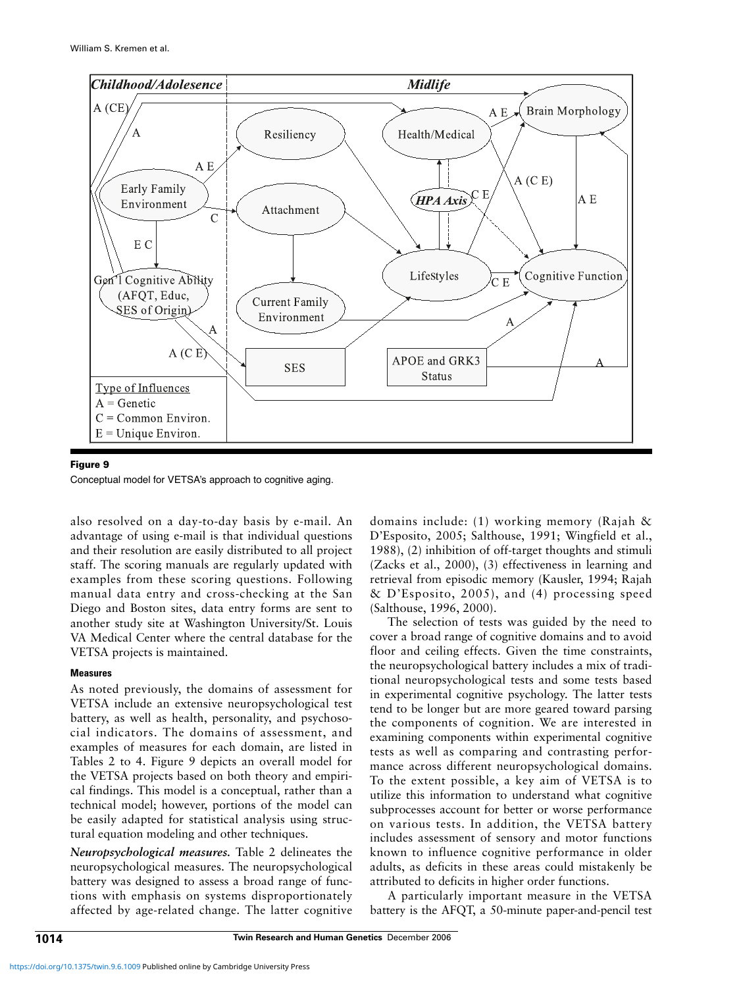

## **Figure 9**

Conceptual model for VETSA's approach to cognitive aging.

also resolved on a day-to-day basis by e-mail. An advantage of using e-mail is that individual questions and their resolution are easily distributed to all project staff. The scoring manuals are regularly updated with examples from these scoring questions. Following manual data entry and cross-checking at the San Diego and Boston sites, data entry forms are sent to another study site at Washington University/St. Louis VA Medical Center where the central database for the VETSA projects is maintained.

## **Measures**

As noted previously, the domains of assessment for VETSA include an extensive neuropsychological test battery, as well as health, personality, and psychosocial indicators. The domains of assessment, and examples of measures for each domain, are listed in Tables 2 to 4. Figure 9 depicts an overall model for the VETSA projects based on both theory and empirical findings. This model is a conceptual, rather than a technical model; however, portions of the model can be easily adapted for statistical analysis using structural equation modeling and other techniques.

*Neuropsychological measures.* Table 2 delineates the neuropsychological measures. The neuropsychological battery was designed to assess a broad range of functions with emphasis on systems disproportionately affected by age-related change. The latter cognitive

domains include: (1) working memory (Rajah & D'Esposito, 2005; Salthouse, 1991; Wingfield et al., 1988), (2) inhibition of off-target thoughts and stimuli (Zacks et al., 2000), (3) effectiveness in learning and retrieval from episodic memory (Kausler, 1994; Rajah & D'Esposito, 2005), and (4) processing speed (Salthouse, 1996, 2000).

The selection of tests was guided by the need to cover a broad range of cognitive domains and to avoid floor and ceiling effects. Given the time constraints, the neuropsychological battery includes a mix of traditional neuropsychological tests and some tests based in experimental cognitive psychology. The latter tests tend to be longer but are more geared toward parsing the components of cognition. We are interested in examining components within experimental cognitive tests as well as comparing and contrasting performance across different neuropsychological domains. To the extent possible, a key aim of VETSA is to utilize this information to understand what cognitive subprocesses account for better or worse performance on various tests. In addition, the VETSA battery includes assessment of sensory and motor functions known to influence cognitive performance in older adults, as deficits in these areas could mistakenly be attributed to deficits in higher order functions.

A particularly important measure in the VETSA battery is the AFQT, a 50-minute paper-and-pencil test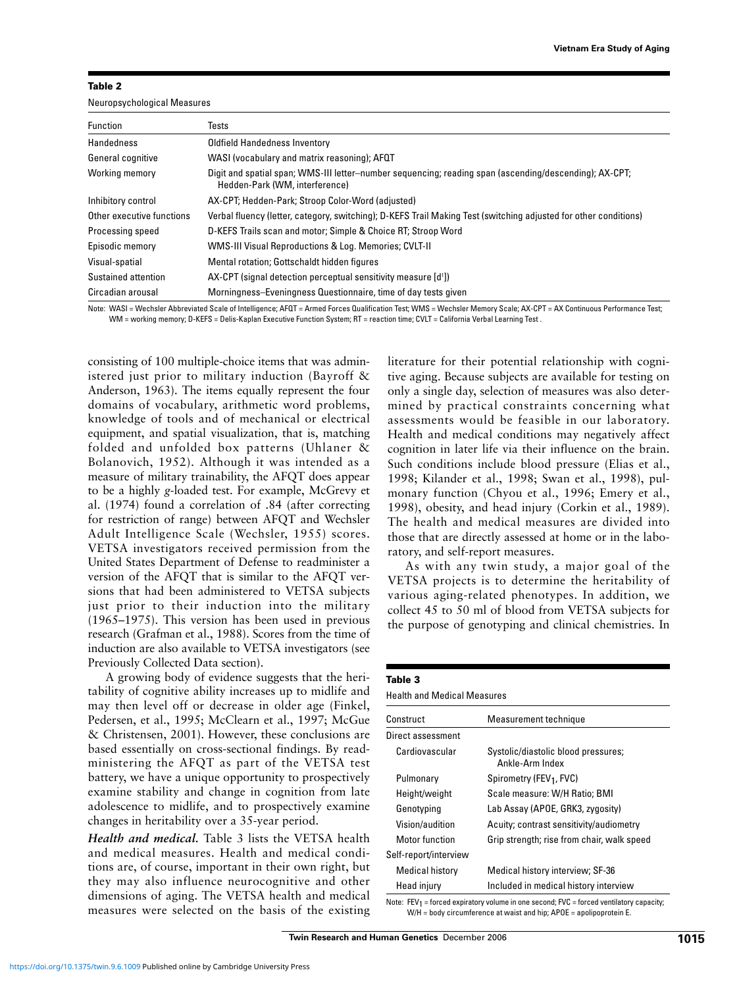**Table 2**

|  |  |  | Neuropsychological Measures |
|--|--|--|-----------------------------|
|--|--|--|-----------------------------|

| <b>Function</b>           | Tests                                                                                                                                    |
|---------------------------|------------------------------------------------------------------------------------------------------------------------------------------|
| Handedness                | Oldfield Handedness Inventory                                                                                                            |
| General cognitive         | WASI (vocabulary and matrix reasoning); AFQT                                                                                             |
| <b>Working memory</b>     | Digit and spatial span; WMS-III letter-number sequencing; reading span (ascending/descending); AX-CPT;<br>Hedden-Park (WM, interference) |
| Inhibitory control        | AX-CPT; Hedden-Park; Stroop Color-Word (adjusted)                                                                                        |
| Other executive functions | Verbal fluency (letter, category, switching); D-KEFS Trail Making Test (switching adjusted for other conditions)                         |
| Processing speed          | D-KEFS Trails scan and motor; Simple & Choice RT; Stroop Word                                                                            |
| Episodic memory           | <b>WMS-III Visual Reproductions &amp; Log. Memories; CVLT-II</b>                                                                         |
| Visual-spatial            | Mental rotation; Gottschaldt hidden figures                                                                                              |
| Sustained attention       | AX-CPT (signal detection perceptual sensitivity measure [d])                                                                             |
| Circadian arousal         | Morningness-Eveningness Questionnaire, time of day tests given                                                                           |

Note: WASI = Wechsler Abbreviated Scale of Intelligence; AFQT = Armed Forces Qualification Test; WMS = Wechsler Memory Scale; AX-CPT = AX Continuous Performance Test; WM = working memory; D-KEFS = Delis-Kaplan Executive Function System; RT = reaction time; CVLT = California Verbal Learning Test .

consisting of 100 multiple-choice items that was administered just prior to military induction (Bayroff & Anderson, 1963). The items equally represent the four domains of vocabulary, arithmetic word problems, knowledge of tools and of mechanical or electrical equipment, and spatial visualization, that is, matching folded and unfolded box patterns (Uhlaner & Bolanovich, 1952). Although it was intended as a measure of military trainability, the AFQT does appear to be a highly *g*-loaded test. For example, McGrevy et al. (1974) found a correlation of .84 (after correcting for restriction of range) between AFQT and Wechsler Adult Intelligence Scale (Wechsler, 1955) scores. VETSA investigators received permission from the United States Department of Defense to readminister a version of the AFQT that is similar to the AFQT versions that had been administered to VETSA subjects just prior to their induction into the military (1965–1975). This version has been used in previous research (Grafman et al., 1988). Scores from the time of induction are also available to VETSA investigators (see Previously Collected Data section).

A growing body of evidence suggests that the heritability of cognitive ability increases up to midlife and may then level off or decrease in older age (Finkel, Pedersen, et al., 1995; McClearn et al., 1997; McGue & Christensen, 2001). However, these conclusions are based essentially on cross-sectional findings. By readministering the AFQT as part of the VETSA test battery, we have a unique opportunity to prospectively examine stability and change in cognition from late adolescence to midlife, and to prospectively examine changes in heritability over a 35-year period.

*Health and medical.* Table 3 lists the VETSA health and medical measures. Health and medical conditions are, of course, important in their own right, but they may also influence neurocognitive and other dimensions of aging. The VETSA health and medical measures were selected on the basis of the existing

literature for their potential relationship with cognitive aging. Because subjects are available for testing on only a single day, selection of measures was also determined by practical constraints concerning what assessments would be feasible in our laboratory. Health and medical conditions may negatively affect cognition in later life via their influence on the brain. Such conditions include blood pressure (Elias et al., 1998; Kilander et al., 1998; Swan et al., 1998), pulmonary function (Chyou et al., 1996; Emery et al., 1998), obesity, and head injury (Corkin et al., 1989). The health and medical measures are divided into those that are directly assessed at home or in the laboratory, and self-report measures.

As with any twin study, a major goal of the VETSA projects is to determine the heritability of various aging-related phenotypes. In addition, we collect 45 to 50 ml of blood from VETSA subjects for the purpose of genotyping and clinical chemistries. In

| Table 3<br><b>Health and Medical Measures</b> |                                                        |  |  |
|-----------------------------------------------|--------------------------------------------------------|--|--|
| Construct                                     | Measurement technique                                  |  |  |
| Direct assessment                             |                                                        |  |  |
| Cardiovascular                                | Systolic/diastolic blood pressures;<br>Ankle-Arm Index |  |  |
| Pulmonary                                     | Spirometry (FEV <sub>1</sub> , FVC)                    |  |  |
| Height/weight                                 | Scale measure: W/H Ratio; BMI                          |  |  |
| Genotyping                                    | Lab Assay (APOE, GRK3, zygosity)                       |  |  |
| Vision/audition                               | Acuity; contrast sensitivity/audiometry                |  |  |
| Motor function                                | Grip strength; rise from chair, walk speed             |  |  |
| Self-report/interview                         |                                                        |  |  |
| Medical history                               | Medical history interview; SF-36                       |  |  |
| Head injury                                   | Included in medical history interview                  |  |  |

W/H = body circumference at waist and hip; APOE = apolipoprotein E.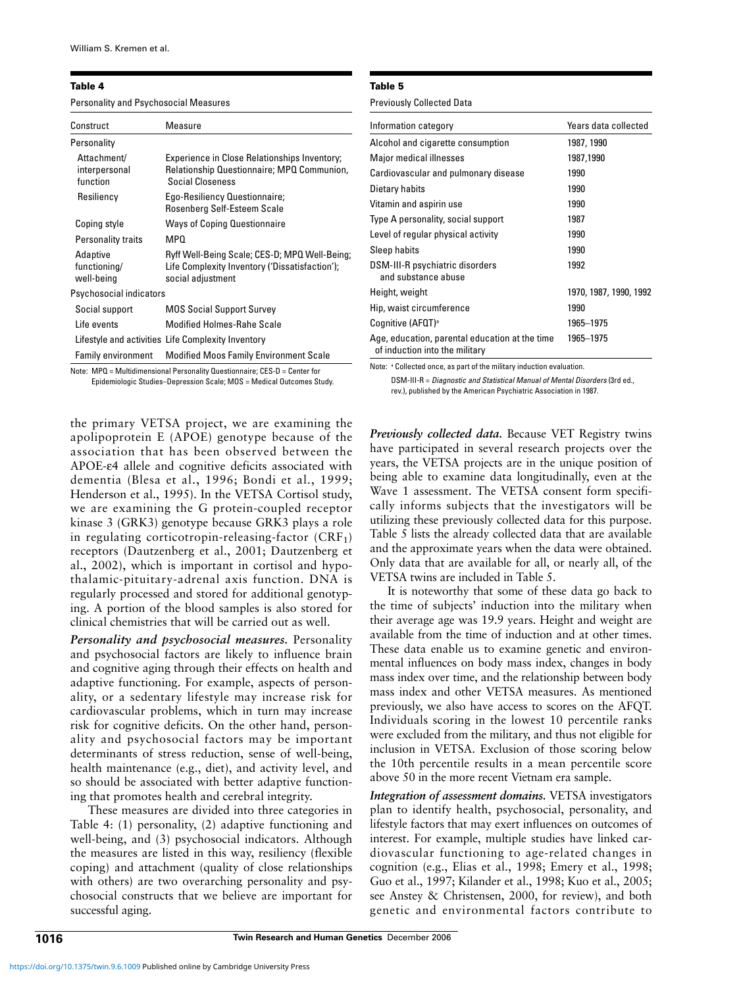### **Table 4**

Personality and Psychosocial Measures

| Measure                                                                                                              |  |  |  |
|----------------------------------------------------------------------------------------------------------------------|--|--|--|
|                                                                                                                      |  |  |  |
| Experience in Close Relationships Inventory;<br>Relationship Questionnaire; MPQ Communion,<br>Social Closeness       |  |  |  |
| Ego-Resiliency Questionnaire;<br>Rosenberg Self-Esteem Scale                                                         |  |  |  |
| <b>Ways of Coping Questionnaire</b>                                                                                  |  |  |  |
| MPQ                                                                                                                  |  |  |  |
| Ryff Well-Being Scale; CES-D; MPQ Well-Being;<br>Life Complexity Inventory ('Dissatisfaction');<br>social adjustment |  |  |  |
| Psychosocial indicators                                                                                              |  |  |  |
| <b>MOS Social Support Survey</b>                                                                                     |  |  |  |
| Modified Holmes-Rahe Scale                                                                                           |  |  |  |
| Lifestyle and activities Life Complexity Inventory                                                                   |  |  |  |
| <b>Modified Moos Family Environment Scale</b>                                                                        |  |  |  |
|                                                                                                                      |  |  |  |

Note: MPQ = Multidimensional Personality Questionnaire; CES-D = Center for Epidemiologic Studies–Depression Scale; MOS = Medical Outcomes Study.

the primary VETSA project, we are examining the apolipoprotein E (APOE) genotype because of the association that has been observed between the APOE-ε4 allele and cognitive deficits associated with dementia (Blesa et al., 1996; Bondi et al., 1999; Henderson et al., 1995). In the VETSA Cortisol study, we are examining the G protein-coupled receptor kinase 3 (GRK3) genotype because GRK3 plays a role in regulating corticotropin-releasing-factor  $(CRF_1)$ receptors (Dautzenberg et al., 2001; Dautzenberg et al., 2002), which is important in cortisol and hypothalamic-pituitary-adrenal axis function. DNA is regularly processed and stored for additional genotyping. A portion of the blood samples is also stored for clinical chemistries that will be carried out as well.

*Personality and psychosocial measures.* Personality and psychosocial factors are likely to influence brain and cognitive aging through their effects on health and adaptive functioning. For example, aspects of personality, or a sedentary lifestyle may increase risk for cardiovascular problems, which in turn may increase risk for cognitive deficits. On the other hand, personality and psychosocial factors may be important determinants of stress reduction, sense of well-being, health maintenance (e.g., diet), and activity level, and so should be associated with better adaptive functioning that promotes health and cerebral integrity.

These measures are divided into three categories in Table 4: (1) personality, (2) adaptive functioning and well-being, and (3) psychosocial indicators. Although the measures are listed in this way, resiliency (flexible coping) and attachment (quality of close relationships with others) are two overarching personality and psychosocial constructs that we believe are important for successful aging.

#### **Table 5**

Previously Collected Data

| Information category                                                             | Years data collected   |
|----------------------------------------------------------------------------------|------------------------|
| Alcohol and cigarette consumption                                                | 1987, 1990             |
| Major medical illnesses                                                          | 1987,1990              |
| Cardiovascular and pulmonary disease                                             | 1990                   |
| Dietary habits                                                                   | 1990                   |
| Vitamin and aspirin use                                                          | 1990                   |
| Type A personality, social support                                               | 1987                   |
| Level of regular physical activity                                               | 1990                   |
| Sleep habits                                                                     | 1990                   |
| DSM-III-R psychiatric disorders<br>and substance abuse                           | 1992                   |
| Height, weight                                                                   | 1970, 1987, 1990, 1992 |
| Hip, waist circumference                                                         | 1990                   |
| Cognitive (AFQT) <sup>a</sup>                                                    | 1965-1975              |
| Age, education, parental education at the time<br>of induction into the military | 1965-1975              |

Note:  $\cdot$  Collected once, as part of the military induction evaluation.

DSM-III-R = Diagnostic and Statistical Manual of Mental Disorders (3rd ed., rev.), published by the American Psychiatric Association in 1987.

*Previously collected data.* Because VET Registry twins have participated in several research projects over the years, the VETSA projects are in the unique position of being able to examine data longitudinally, even at the Wave 1 assessment. The VETSA consent form specifically informs subjects that the investigators will be utilizing these previously collected data for this purpose. Table 5 lists the already collected data that are available and the approximate years when the data were obtained. Only data that are available for all, or nearly all, of the VETSA twins are included in Table 5.

It is noteworthy that some of these data go back to the time of subjects' induction into the military when their average age was 19.9 years. Height and weight are available from the time of induction and at other times. These data enable us to examine genetic and environmental influences on body mass index, changes in body mass index over time, and the relationship between body mass index and other VETSA measures. As mentioned previously, we also have access to scores on the AFQT. Individuals scoring in the lowest 10 percentile ranks were excluded from the military, and thus not eligible for inclusion in VETSA. Exclusion of those scoring below the 10th percentile results in a mean percentile score above 50 in the more recent Vietnam era sample.

*Integration of assessment domains.* VETSA investigators plan to identify health, psychosocial, personality, and lifestyle factors that may exert influences on outcomes of interest. For example, multiple studies have linked cardiovascular functioning to age-related changes in cognition (e.g., Elias et al., 1998; Emery et al., 1998; Guo et al., 1997; Kilander et al., 1998; Kuo et al., 2005; see Anstey & Christensen, 2000, for review), and both genetic and environmental factors contribute to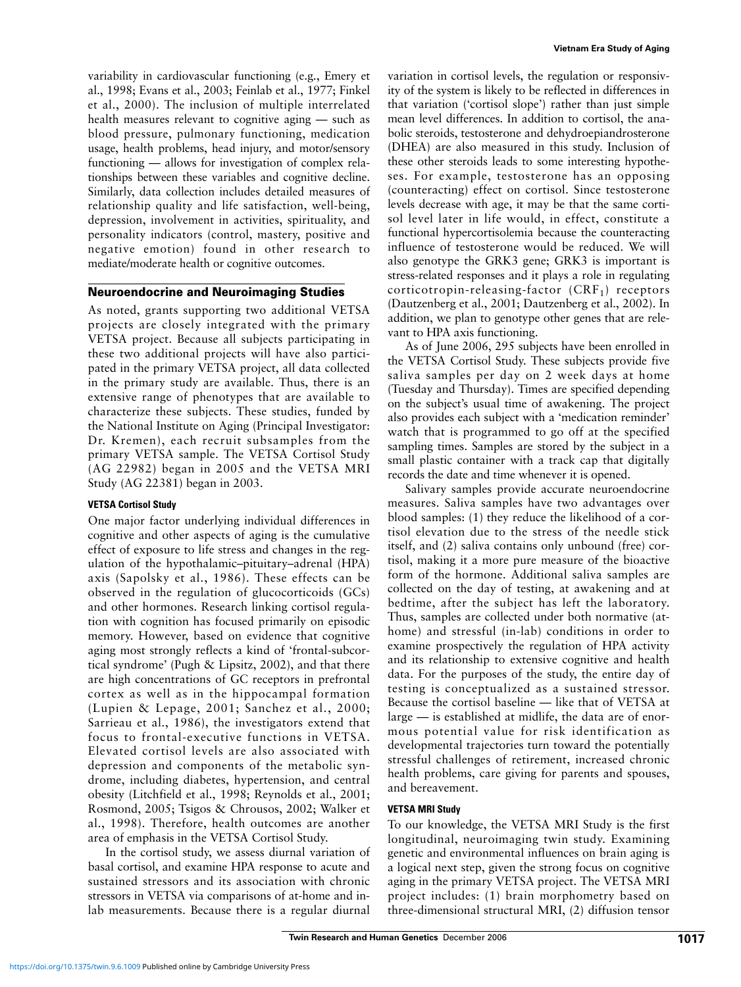variability in cardiovascular functioning (e.g., Emery et al., 1998; Evans et al., 2003; Feinlab et al., 1977; Finkel et al., 2000). The inclusion of multiple interrelated health measures relevant to cognitive aging — such as blood pressure, pulmonary functioning, medication usage, health problems, head injury, and motor/sensory functioning — allows for investigation of complex relationships between these variables and cognitive decline. Similarly, data collection includes detailed measures of relationship quality and life satisfaction, well-being, depression, involvement in activities, spirituality, and personality indicators (control, mastery, positive and negative emotion) found in other research to mediate/moderate health or cognitive outcomes.

# **Neuroendocrine and Neuroimaging Studies**

As noted, grants supporting two additional VETSA projects are closely integrated with the primary VETSA project. Because all subjects participating in these two additional projects will have also participated in the primary VETSA project, all data collected in the primary study are available. Thus, there is an extensive range of phenotypes that are available to characterize these subjects. These studies, funded by the National Institute on Aging (Principal Investigator: Dr. Kremen), each recruit subsamples from the primary VETSA sample. The VETSA Cortisol Study (AG 22982) began in 2005 and the VETSA MRI Study (AG 22381) began in 2003.

# **VETSA Cortisol Study**

One major factor underlying individual differences in cognitive and other aspects of aging is the cumulative effect of exposure to life stress and changes in the regulation of the hypothalamic–pituitary–adrenal (HPA) axis (Sapolsky et al., 1986). These effects can be observed in the regulation of glucocorticoids (GCs) and other hormones. Research linking cortisol regulation with cognition has focused primarily on episodic memory. However, based on evidence that cognitive aging most strongly reflects a kind of 'frontal-subcortical syndrome' (Pugh & Lipsitz, 2002), and that there are high concentrations of GC receptors in prefrontal cortex as well as in the hippocampal formation (Lupien & Lepage, 2001; Sanchez et al., 2000; Sarrieau et al., 1986), the investigators extend that focus to frontal-executive functions in VETSA. Elevated cortisol levels are also associated with depression and components of the metabolic syndrome, including diabetes, hypertension, and central obesity (Litchfield et al., 1998; Reynolds et al., 2001; Rosmond, 2005; Tsigos & Chrousos, 2002; Walker et al., 1998). Therefore, health outcomes are another area of emphasis in the VETSA Cortisol Study.

In the cortisol study, we assess diurnal variation of basal cortisol, and examine HPA response to acute and sustained stressors and its association with chronic stressors in VETSA via comparisons of at-home and inlab measurements. Because there is a regular diurnal variation in cortisol levels, the regulation or responsivity of the system is likely to be reflected in differences in that variation ('cortisol slope') rather than just simple mean level differences. In addition to cortisol, the anabolic steroids, testosterone and dehydroepiandrosterone (DHEA) are also measured in this study. Inclusion of these other steroids leads to some interesting hypotheses. For example, testosterone has an opposing (counteracting) effect on cortisol. Since testosterone levels decrease with age, it may be that the same cortisol level later in life would, in effect, constitute a functional hypercortisolemia because the counteracting influence of testosterone would be reduced. We will also genotype the GRK3 gene; GRK3 is important is stress-related responses and it plays a role in regulating corticotropin-releasing-factor  $(CRF_1)$  receptors (Dautzenberg et al., 2001; Dautzenberg et al., 2002). In addition, we plan to genotype other genes that are relevant to HPA axis functioning.

As of June 2006, 295 subjects have been enrolled in the VETSA Cortisol Study. These subjects provide five saliva samples per day on 2 week days at home (Tuesday and Thursday). Times are specified depending on the subject's usual time of awakening. The project also provides each subject with a 'medication reminder' watch that is programmed to go off at the specified sampling times. Samples are stored by the subject in a small plastic container with a track cap that digitally records the date and time whenever it is opened.

Salivary samples provide accurate neuroendocrine measures. Saliva samples have two advantages over blood samples: (1) they reduce the likelihood of a cortisol elevation due to the stress of the needle stick itself, and (2) saliva contains only unbound (free) cortisol, making it a more pure measure of the bioactive form of the hormone. Additional saliva samples are collected on the day of testing, at awakening and at bedtime, after the subject has left the laboratory. Thus, samples are collected under both normative (athome) and stressful (in-lab) conditions in order to examine prospectively the regulation of HPA activity and its relationship to extensive cognitive and health data. For the purposes of the study, the entire day of testing is conceptualized as a sustained stressor. Because the cortisol baseline — like that of VETSA at large — is established at midlife, the data are of enormous potential value for risk identification as developmental trajectories turn toward the potentially stressful challenges of retirement, increased chronic health problems, care giving for parents and spouses, and bereavement.

## **VETSA MRI Study**

To our knowledge, the VETSA MRI Study is the first longitudinal, neuroimaging twin study. Examining genetic and environmental influences on brain aging is a logical next step, given the strong focus on cognitive aging in the primary VETSA project. The VETSA MRI project includes: (1) brain morphometry based on three-dimensional structural MRI, (2) diffusion tensor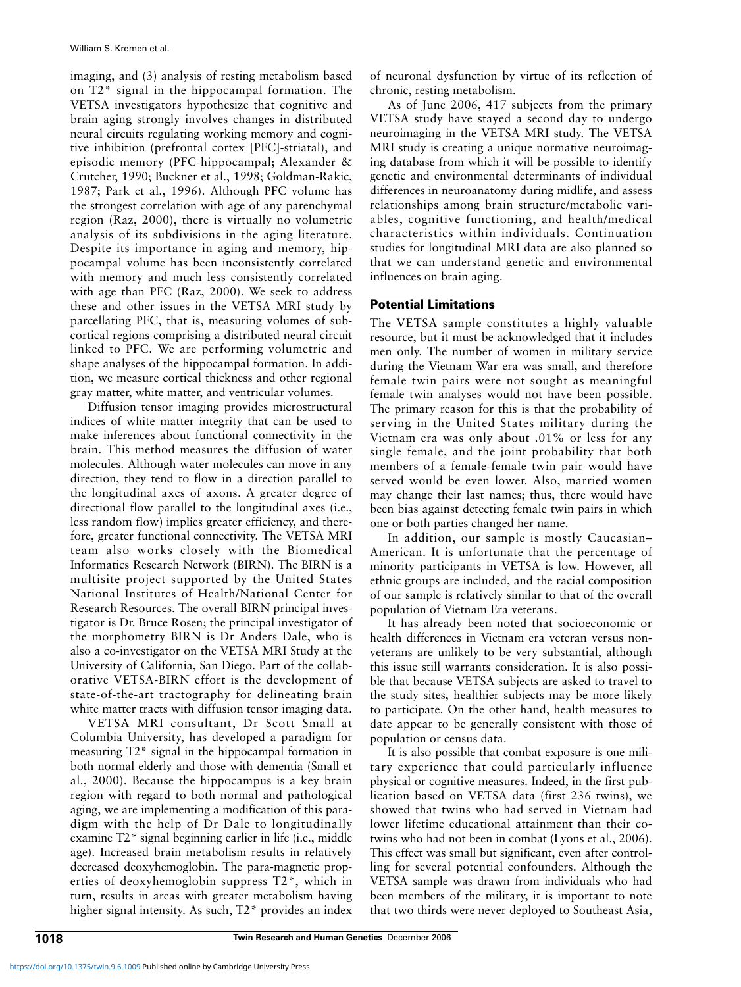imaging, and (3) analysis of resting metabolism based on T2\* signal in the hippocampal formation. The VETSA investigators hypothesize that cognitive and brain aging strongly involves changes in distributed neural circuits regulating working memory and cognitive inhibition (prefrontal cortex [PFC]-striatal), and episodic memory (PFC-hippocampal; Alexander & Crutcher, 1990; Buckner et al., 1998; Goldman-Rakic, 1987; Park et al., 1996). Although PFC volume has the strongest correlation with age of any parenchymal region (Raz, 2000), there is virtually no volumetric analysis of its subdivisions in the aging literature. Despite its importance in aging and memory, hippocampal volume has been inconsistently correlated with memory and much less consistently correlated with age than PFC (Raz, 2000). We seek to address these and other issues in the VETSA MRI study by parcellating PFC, that is, measuring volumes of subcortical regions comprising a distributed neural circuit linked to PFC. We are performing volumetric and shape analyses of the hippocampal formation. In addition, we measure cortical thickness and other regional gray matter, white matter, and ventricular volumes.

Diffusion tensor imaging provides microstructural indices of white matter integrity that can be used to make inferences about functional connectivity in the brain. This method measures the diffusion of water molecules. Although water molecules can move in any direction, they tend to flow in a direction parallel to the longitudinal axes of axons. A greater degree of directional flow parallel to the longitudinal axes (i.e., less random flow) implies greater efficiency, and therefore, greater functional connectivity. The VETSA MRI team also works closely with the Biomedical Informatics Research Network (BIRN). The BIRN is a multisite project supported by the United States National Institutes of Health/National Center for Research Resources. The overall BIRN principal investigator is Dr. Bruce Rosen; the principal investigator of the morphometry BIRN is Dr Anders Dale, who is also a co-investigator on the VETSA MRI Study at the University of California, San Diego. Part of the collaborative VETSA-BIRN effort is the development of state-of-the-art tractography for delineating brain white matter tracts with diffusion tensor imaging data.

VETSA MRI consultant, Dr Scott Small at Columbia University, has developed a paradigm for measuring T2\* signal in the hippocampal formation in both normal elderly and those with dementia (Small et al., 2000). Because the hippocampus is a key brain region with regard to both normal and pathological aging, we are implementing a modification of this paradigm with the help of Dr Dale to longitudinally examine T2\* signal beginning earlier in life (i.e., middle age). Increased brain metabolism results in relatively decreased deoxyhemoglobin. The para-magnetic properties of deoxyhemoglobin suppress T2\*, which in turn, results in areas with greater metabolism having higher signal intensity. As such,  $T2^*$  provides an index of neuronal dysfunction by virtue of its reflection of chronic, resting metabolism.

As of June 2006, 417 subjects from the primary VETSA study have stayed a second day to undergo neuroimaging in the VETSA MRI study. The VETSA MRI study is creating a unique normative neuroimaging database from which it will be possible to identify genetic and environmental determinants of individual differences in neuroanatomy during midlife, and assess relationships among brain structure/metabolic variables, cognitive functioning, and health/medical characteristics within individuals. Continuation studies for longitudinal MRI data are also planned so that we can understand genetic and environmental influences on brain aging.

# **Potential Limitations**

The VETSA sample constitutes a highly valuable resource, but it must be acknowledged that it includes men only. The number of women in military service during the Vietnam War era was small, and therefore female twin pairs were not sought as meaningful female twin analyses would not have been possible. The primary reason for this is that the probability of serving in the United States military during the Vietnam era was only about .01% or less for any single female, and the joint probability that both members of a female-female twin pair would have served would be even lower. Also, married women may change their last names; thus, there would have been bias against detecting female twin pairs in which one or both parties changed her name.

In addition, our sample is mostly Caucasian– American. It is unfortunate that the percentage of minority participants in VETSA is low. However, all ethnic groups are included, and the racial composition of our sample is relatively similar to that of the overall population of Vietnam Era veterans.

It has already been noted that socioeconomic or health differences in Vietnam era veteran versus nonveterans are unlikely to be very substantial, although this issue still warrants consideration. It is also possible that because VETSA subjects are asked to travel to the study sites, healthier subjects may be more likely to participate. On the other hand, health measures to date appear to be generally consistent with those of population or census data.

It is also possible that combat exposure is one military experience that could particularly influence physical or cognitive measures. Indeed, in the first publication based on VETSA data (first 236 twins), we showed that twins who had served in Vietnam had lower lifetime educational attainment than their cotwins who had not been in combat (Lyons et al., 2006). This effect was small but significant, even after controlling for several potential confounders. Although the VETSA sample was drawn from individuals who had been members of the military, it is important to note that two thirds were never deployed to Southeast Asia,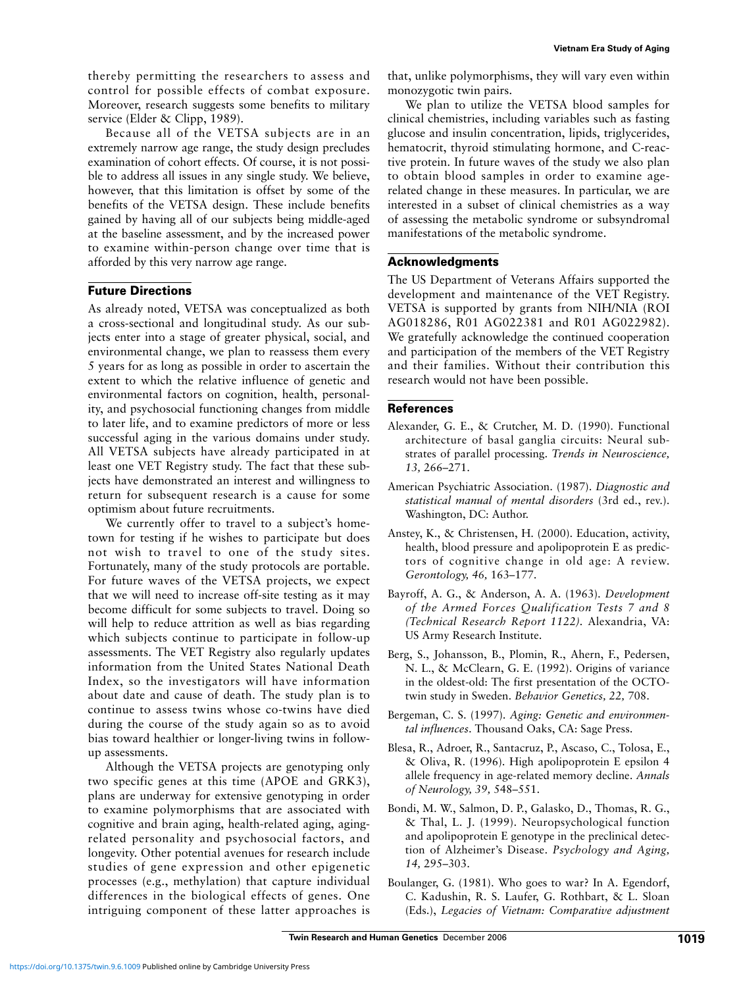thereby permitting the researchers to assess and control for possible effects of combat exposure. Moreover, research suggests some benefits to military service (Elder & Clipp, 1989).

Because all of the VETSA subjects are in an extremely narrow age range, the study design precludes examination of cohort effects. Of course, it is not possible to address all issues in any single study. We believe, however, that this limitation is offset by some of the benefits of the VETSA design. These include benefits gained by having all of our subjects being middle-aged at the baseline assessment, and by the increased power to examine within-person change over time that is afforded by this very narrow age range.

# **Future Directions**

As already noted, VETSA was conceptualized as both a cross-sectional and longitudinal study. As our subjects enter into a stage of greater physical, social, and environmental change, we plan to reassess them every 5 years for as long as possible in order to ascertain the extent to which the relative influence of genetic and environmental factors on cognition, health, personality, and psychosocial functioning changes from middle to later life, and to examine predictors of more or less successful aging in the various domains under study. All VETSA subjects have already participated in at least one VET Registry study. The fact that these subjects have demonstrated an interest and willingness to return for subsequent research is a cause for some optimism about future recruitments.

We currently offer to travel to a subject's hometown for testing if he wishes to participate but does not wish to travel to one of the study sites. Fortunately, many of the study protocols are portable. For future waves of the VETSA projects, we expect that we will need to increase off-site testing as it may become difficult for some subjects to travel. Doing so will help to reduce attrition as well as bias regarding which subjects continue to participate in follow-up assessments. The VET Registry also regularly updates information from the United States National Death Index, so the investigators will have information about date and cause of death. The study plan is to continue to assess twins whose co-twins have died during the course of the study again so as to avoid bias toward healthier or longer-living twins in followup assessments.

Although the VETSA projects are genotyping only two specific genes at this time (APOE and GRK3), plans are underway for extensive genotyping in order to examine polymorphisms that are associated with cognitive and brain aging, health-related aging, agingrelated personality and psychosocial factors, and longevity. Other potential avenues for research include studies of gene expression and other epigenetic processes (e.g., methylation) that capture individual differences in the biological effects of genes. One intriguing component of these latter approaches is that, unlike polymorphisms, they will vary even within monozygotic twin pairs.

We plan to utilize the VETSA blood samples for clinical chemistries, including variables such as fasting glucose and insulin concentration, lipids, triglycerides, hematocrit, thyroid stimulating hormone, and C-reactive protein. In future waves of the study we also plan to obtain blood samples in order to examine agerelated change in these measures. In particular, we are interested in a subset of clinical chemistries as a way of assessing the metabolic syndrome or subsyndromal manifestations of the metabolic syndrome.

# **Acknowledgments**

The US Department of Veterans Affairs supported the development and maintenance of the VET Registry. VETSA is supported by grants from NIH/NIA (ROI AG018286, R01 AG022381 and R01 AG022982). We gratefully acknowledge the continued cooperation and participation of the members of the VET Registry and their families. Without their contribution this research would not have been possible.

# **References**

- Alexander, G. E., & Crutcher, M. D. (1990). Functional architecture of basal ganglia circuits: Neural substrates of parallel processing. *Trends in Neuroscience, 13,* 266–271.
- American Psychiatric Association. (1987). *Diagnostic and statistical manual of mental disorders* (3rd ed., rev.). Washington, DC: Author.
- Anstey, K., & Christensen, H. (2000). Education, activity, health, blood pressure and apolipoprotein E as predictors of cognitive change in old age: A review. *Gerontology, 46,* 163–177.
- Bayroff, A. G., & Anderson, A. A. (1963). *Development of the Armed Forces Qualification Tests 7 and 8 (Technical Research Report 1122).* Alexandria, VA: US Army Research Institute.
- Berg, S., Johansson, B., Plomin, R., Ahern, F., Pedersen, N. L., & McClearn, G. E. (1992). Origins of variance in the oldest-old: The first presentation of the OCTOtwin study in Sweden. *Behavior Genetics, 22,* 708.
- Bergeman, C. S. (1997). *Aging: Genetic and environmental influences*. Thousand Oaks, CA: Sage Press.
- Blesa, R., Adroer, R., Santacruz, P., Ascaso, C., Tolosa, E., & Oliva, R. (1996). High apolipoprotein E epsilon 4 allele frequency in age-related memory decline. *Annals of Neurology, 39,* 548–551.
- Bondi, M. W., Salmon, D. P., Galasko, D., Thomas, R. G., & Thal, L. J. (1999). Neuropsychological function and apolipoprotein E genotype in the preclinical detection of Alzheimer's Disease. *Psychology and Aging, 14,* 295–303.
- Boulanger, G. (1981). Who goes to war? In A. Egendorf, C. Kadushin, R. S. Laufer, G. Rothbart, & L. Sloan (Eds.), *Legacies of Vietnam: Comparative adjustment*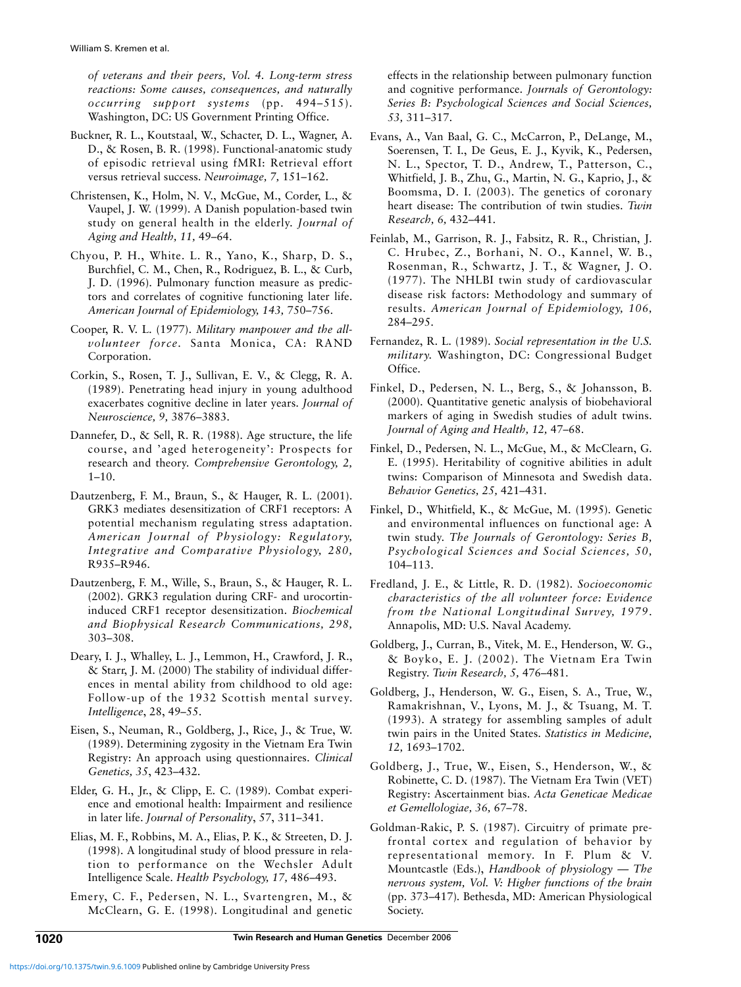*of veterans and their peers, Vol. 4. Long-term stress reactions: Some causes, consequences, and naturally occurring support systems* (pp. 494–515). Washington, DC: US Government Printing Office.

- Buckner, R. L., Koutstaal, W., Schacter, D. L., Wagner, A. D., & Rosen, B. R. (1998). Functional-anatomic study of episodic retrieval using fMRI: Retrieval effort versus retrieval success. *Neuroimage, 7,* 151–162.
- Christensen, K., Holm, N. V., McGue, M., Corder, L., & Vaupel, J. W. (1999). A Danish population-based twin study on general health in the elderly. *Journal of Aging and Health, 11,* 49–64.
- Chyou, P. H., White. L. R., Yano, K., Sharp, D. S., Burchfiel, C. M., Chen, R., Rodriguez, B. L., & Curb, J. D. (1996). Pulmonary function measure as predictors and correlates of cognitive functioning later life. *American Journal of Epidemiology, 143,* 750–756.
- Cooper, R. V. L. (1977). *Military manpower and the allvolunteer force.* Santa Monica, CA: RAND Corporation.
- Corkin, S., Rosen, T. J., Sullivan, E. V., & Clegg, R. A. (1989). Penetrating head injury in young adulthood exacerbates cognitive decline in later years. *Journal of Neuroscience, 9,* 3876–3883.
- Dannefer, D., & Sell, R. R. (1988). Age structure, the life course, and 'aged heterogeneity': Prospects for research and theory. *Comprehensive Gerontology, 2,* 1–10.
- Dautzenberg, F. M., Braun, S., & Hauger, R. L. (2001). GRK3 mediates desensitization of CRF1 receptors: A potential mechanism regulating stress adaptation. *American Journal of Physiology: Regulatory, Integrative and Comparative Physiology, 280,* R935–R946.
- Dautzenberg, F. M., Wille, S., Braun, S., & Hauger, R. L. (2002). GRK3 regulation during CRF- and urocortininduced CRF1 receptor desensitization. *Biochemical and Biophysical Research Communications, 298,* 303–308.
- Deary, I. J., Whalley, L. J., Lemmon, H., Crawford, J. R., & Starr, J. M. (2000) The stability of individual differences in mental ability from childhood to old age: Follow-up of the 1932 Scottish mental survey. *Intelligence*, 28, 49–55.
- Eisen, S., Neuman, R., Goldberg, J., Rice, J., & True, W. (1989). Determining zygosity in the Vietnam Era Twin Registry: An approach using questionnaires. *Clinical Genetics, 35*, 423–432.
- Elder, G. H., Jr., & Clipp, E. C. (1989). Combat experience and emotional health: Impairment and resilience in later life. *Journal of Personality*, 57, 311–341.
- Elias, M. F., Robbins, M. A., Elias, P. K., & Streeten, D. J. (1998). A longitudinal study of blood pressure in relation to performance on the Wechsler Adult Intelligence Scale. *Health Psychology, 17,* 486–493.
- Emery, C. F., Pedersen, N. L., Svartengren, M., & McClearn, G. E. (1998). Longitudinal and genetic

effects in the relationship between pulmonary function and cognitive performance. *Journals of Gerontology: Series B: Psychological Sciences and Social Sciences, 53,* 311–317.

- Evans, A., Van Baal, G. C., McCarron, P., DeLange, M., Soerensen, T. I., De Geus, E. J., Kyvik, K., Pedersen, N. L., Spector, T. D., Andrew, T., Patterson, C., Whitfield, J. B., Zhu, G., Martin, N. G., Kaprio, J., & Boomsma, D. I. (2003). The genetics of coronary heart disease: The contribution of twin studies. *Twin Research, 6,* 432–441.
- Feinlab, M., Garrison, R. J., Fabsitz, R. R., Christian, J. C. Hrubec, Z., Borhani, N. O., Kannel, W. B., Rosenman, R., Schwartz, J. T., & Wagner, J. O. (1977). The NHLBI twin study of cardiovascular disease risk factors: Methodology and summary of results. *American Journal of Epidemiology, 106,* 284–295.
- Fernandez, R. L. (1989). *Social representation in the U.S. military.* Washington, DC: Congressional Budget Office.
- Finkel, D., Pedersen, N. L., Berg, S., & Johansson, B. (2000). Quantitative genetic analysis of biobehavioral markers of aging in Swedish studies of adult twins. *Journal of Aging and Health, 12,* 47–68.
- Finkel, D., Pedersen, N. L., McGue, M., & McClearn, G. E. (1995). Heritability of cognitive abilities in adult twins: Comparison of Minnesota and Swedish data. *Behavior Genetics, 25,* 421–431.
- Finkel, D., Whitfield, K., & McGue, M. (1995). Genetic and environmental influences on functional age: A twin study. *The Journals of Gerontology: Series B, Psychological Sciences and Social Sciences, 50,* 104–113.
- Fredland, J. E., & Little, R. D. (1982). *Socioeconomic characteristics of the all volunteer force: Evidence from the National Longitudinal Survey, 1979*. Annapolis, MD: U.S. Naval Academy.
- Goldberg, J., Curran, B., Vitek, M. E., Henderson, W. G., & Boyko, E. J. (2002). The Vietnam Era Twin Registry. *Twin Research, 5,* 476–481.
- Goldberg, J., Henderson, W. G., Eisen, S. A., True, W., Ramakrishnan, V., Lyons, M. J., & Tsuang, M. T. (1993). A strategy for assembling samples of adult twin pairs in the United States. *Statistics in Medicine, 12,* 1693–1702.
- Goldberg, J., True, W., Eisen, S., Henderson, W., & Robinette, C. D. (1987). The Vietnam Era Twin (VET) Registry: Ascertainment bias. *Acta Geneticae Medicae et Gemellologiae, 36,* 67–78.
- Goldman-Rakic, P. S. (1987). Circuitry of primate prefrontal cortex and regulation of behavior by representational memory. In F. Plum & V. Mountcastle (Eds.), *Handbook of physiology — The nervous system, Vol. V: Higher functions of the brain* (pp. 373–417)*.* Bethesda, MD: American Physiological Society.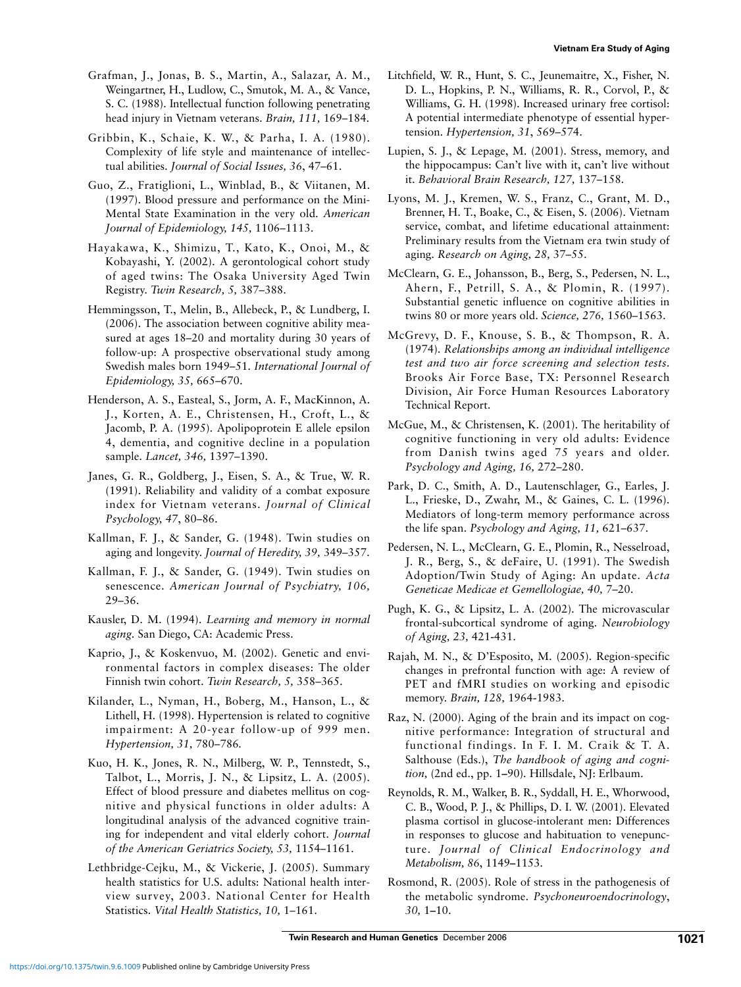- Grafman, J., Jonas, B. S., Martin, A., Salazar, A. M., Weingartner, H., Ludlow, C., Smutok, M. A., & Vance, S. C. (1988). Intellectual function following penetrating head injury in Vietnam veterans. *Brain, 111,* 169–184.
- Gribbin, K., Schaie, K. W., & Parha, I. A. (1980). Complexity of life style and maintenance of intellectual abilities. *Journal of Social Issues, 36*, 47–61.
- Guo, Z., Fratiglioni, L., Winblad, B., & Viitanen, M. (1997). Blood pressure and performance on the Mini-Mental State Examination in the very old. *American Journal of Epidemiology, 145,* 1106–1113.
- Hayakawa, K., Shimizu, T., Kato, K., Onoi, M., & Kobayashi, Y. (2002). A gerontological cohort study of aged twins: The Osaka University Aged Twin Registry. *Twin Research, 5,* 387–388.
- Hemmingsson, T., Melin, B., Allebeck, P., & Lundberg, I. (2006). The association between cognitive ability measured at ages 18–20 and mortality during 30 years of follow-up: A prospective observational study among Swedish males born 1949–51. *International Journal of Epidemiology, 35,* 665–670.
- Henderson, A. S., Easteal, S., Jorm, A. F., MacKinnon, A. J., Korten, A. E., Christensen, H., Croft, L., & Jacomb, P. A. (1995). Apolipoprotein E allele epsilon 4, dementia, and cognitive decline in a population sample. *Lancet, 346,* 1397–1390.
- Janes, G. R., Goldberg, J., Eisen, S. A., & True, W. R. (1991). Reliability and validity of a combat exposure index for Vietnam veterans. *Journal of Clinical Psychology, 47*, 80–86.
- Kallman, F. J., & Sander, G. (1948). Twin studies on aging and longevity. *Journal of Heredity, 39,* 349–357.
- Kallman, F. J., & Sander, G. (1949). Twin studies on senescence. *American Journal of Psychiatry, 106,* 29–36.
- Kausler, D. M. (1994). *Learning and memory in normal aging.* San Diego, CA: Academic Press.
- Kaprio, J., & Koskenvuo, M. (2002). Genetic and environmental factors in complex diseases: The older Finnish twin cohort. *Twin Research, 5,* 358–365.
- Kilander, L., Nyman, H., Boberg, M., Hanson, L., & Lithell, H. (1998). Hypertension is related to cognitive impairment: A 20-year follow-up of 999 men. *Hypertension, 31,* 780–786*.*
- Kuo, H. K., Jones, R. N., Milberg, W. P., Tennstedt, S., Talbot, L., Morris, J. N., & Lipsitz, L. A. (2005). Effect of blood pressure and diabetes mellitus on cognitive and physical functions in older adults: A longitudinal analysis of the advanced cognitive training for independent and vital elderly cohort. *Journal of the American Geriatrics Society, 53,* 1154–1161.
- Lethbridge-Cejku, M., & Vickerie, J. (2005). Summary health statistics for U.S. adults: National health interview survey, 2003. National Center for Health Statistics. *Vital Health Statistics, 10,* 1–161.
- Litchfield, W. R., Hunt, S. C., Jeunemaitre, X., Fisher, N. D. L., Hopkins, P. N., Williams, R. R., Corvol, P., & Williams, G. H. (1998). Increased urinary free cortisol: A potential intermediate phenotype of essential hypertension. *Hypertension, 31*, 569–574.
- Lupien, S. J., & Lepage, M. (2001). Stress, memory, and the hippocampus: Can't live with it, can't live without it. *Behavioral Brain Research, 127,* 137–158.
- Lyons, M. J., Kremen, W. S., Franz, C., Grant, M. D., Brenner, H. T., Boake, C., & Eisen, S. (2006). Vietnam service, combat, and lifetime educational attainment: Preliminary results from the Vietnam era twin study of aging. *Research on Aging, 28,* 37–55.
- McClearn, G. E., Johansson, B., Berg, S., Pedersen, N. L., Ahern, F., Petrill, S. A., & Plomin, R. (1997). Substantial genetic influence on cognitive abilities in twins 80 or more years old. *Science, 276,* 1560–1563.
- McGrevy, D. F., Knouse, S. B., & Thompson, R. A. (1974). *Relationships among an individual intelligence test and two air force screening and selection tests*. Brooks Air Force Base, TX: Personnel Research Division, Air Force Human Resources Laboratory Technical Report.
- McGue, M., & Christensen, K. (2001). The heritability of cognitive functioning in very old adults: Evidence from Danish twins aged 75 years and older. *Psychology and Aging, 16,* 272–280.
- Park, D. C., Smith, A. D., Lautenschlager, G., Earles, J. L., Frieske, D., Zwahr, M., & Gaines, C. L. (1996). Mediators of long-term memory performance across the life span. *Psychology and Aging, 11,* 621–637.
- Pedersen, N. L., McClearn, G. E., Plomin, R., Nesselroad, J. R., Berg, S., & deFaire, U. (1991). The Swedish Adoption/Twin Study of Aging: An update. *Acta Geneticae Medicae et Gemellologiae, 40,* 7–20.
- Pugh, K. G., & Lipsitz, L. A. (2002). The microvascular frontal-subcortical syndrome of aging. *Neurobiology of Aging, 23,* 421**-**431.
- Rajah, M. N., & D'Esposito, M. (2005). Region-specific changes in prefrontal function with age: A review of PET and fMRI studies on working and episodic memory. *Brain, 128,* 1964**-**1983.
- Raz, N. (2000). Aging of the brain and its impact on cognitive performance: Integration of structural and functional findings. In F. I. M. Craik & T. A. Salthouse (Eds.), *The handbook of aging and cognition,* (2nd ed., pp. 1**–**90)*.* Hillsdale, NJ: Erlbaum.
- Reynolds, R. M., Walker, B. R., Syddall, H. E., Whorwood, C. B., Wood, P. J., & Phillips, D. I. W. (2001). Elevated plasma cortisol in glucose-intolerant men: Differences in responses to glucose and habituation to venepuncture. *Journal of Clinical Endocrinology and Metabolism, 86*, 1149**–**1153.
- Rosmond, R. (2005). Role of stress in the pathogenesis of the metabolic syndrome. *Psychoneuroendocrinology*, *30,* 1**–**10.